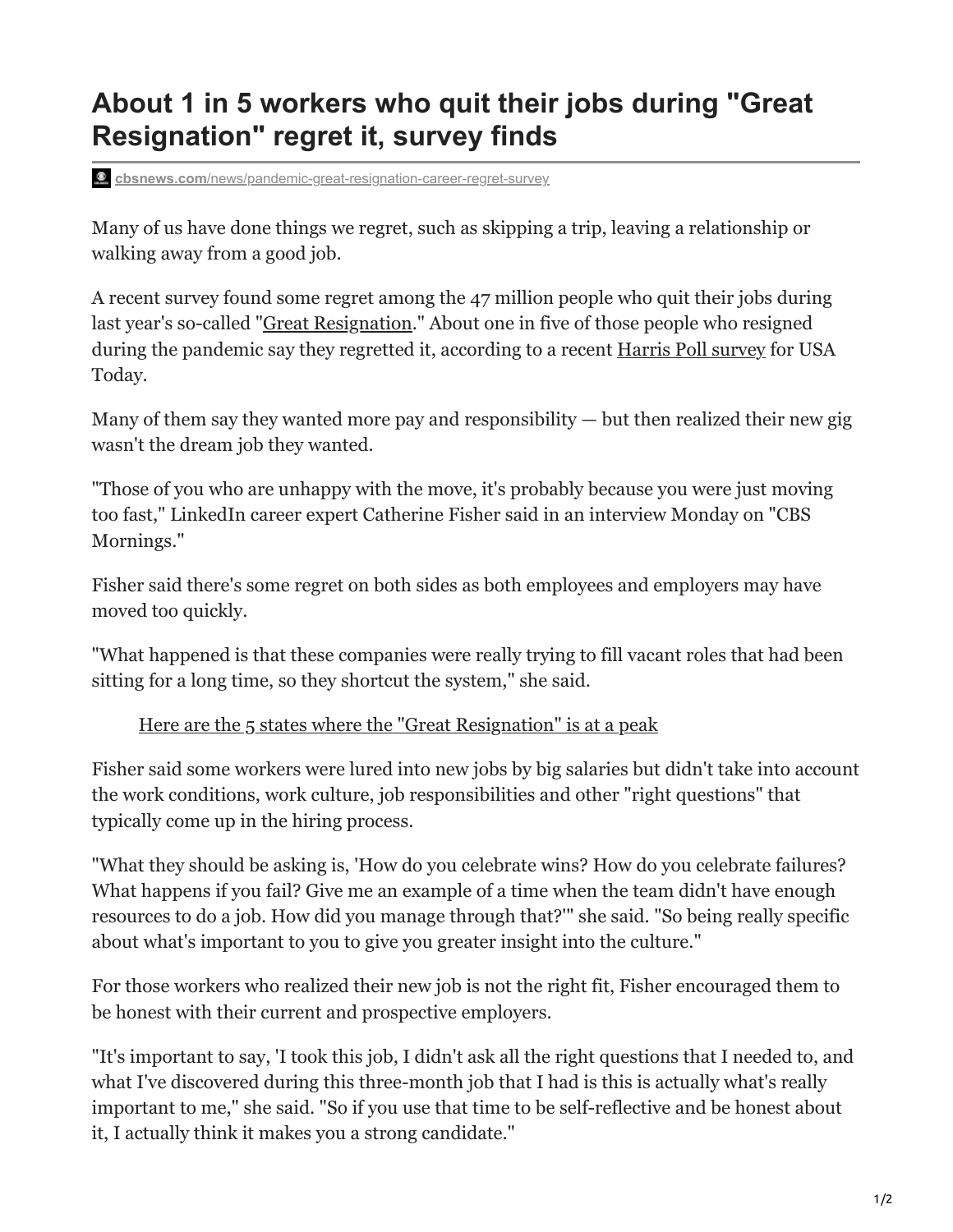## **About 1 in 5 workers who quit their jobs during "Great Resignation" regret it, survey finds**

**cbsnews.com**[/news/pandemic-great-resignation-career-regret-survey](https://www.cbsnews.com/news/pandemic-great-resignation-career-regret-survey/)

Many of us have done things we regret, such as skipping a trip, leaving a relationship or walking away from a good job.

A recent survey found some regret among the 47 million people who quit their jobs during last year's so-called "[Great Resignation.](https://www.cbsnews.com/news/great-resignation-60-minutes-2022-01-10/)" About one in five of those people who resigned during the pandemic say they regretted it, according to a recent [Harris Poll survey](https://www.usatoday.com/story/money/2022/03/28/great-resignation-regret-workers-quit-jobs-not-content/7163041001/?gnt-cfr=1) for USA Today.

Many of them say they wanted more pay and responsibility  $-$  but then realized their new gig wasn't the dream job they wanted.

"Those of you who are unhappy with the move, it's probably because you were just moving too fast," LinkedIn career expert Catherine Fisher said in an interview Monday on "CBS Mornings."

Fisher said there's some regret on both sides as both employees and employers may have moved too quickly.

"What happened is that these companies were really trying to fill vacant roles that had been sitting for a long time, so they shortcut the system," she said.

[Here are the 5 states where the "Great Resignation" is at a peak](https://www.cbsnews.com/news/americans-quit-jobs-states-leading/)

Fisher said some workers were lured into new jobs by big salaries but didn't take into account the work conditions, work culture, job responsibilities and other "right questions" that typically come up in the hiring process.

"What they should be asking is, 'How do you celebrate wins? How do you celebrate failures? What happens if you fail? Give me an example of a time when the team didn't have enough resources to do a job. How did you manage through that?'" she said. "So being really specific about what's important to you to give you greater insight into the culture."

For those workers who realized their new job is not the right fit, Fisher encouraged them to be honest with their current and prospective employers.

"It's important to say, 'I took this job, I didn't ask all the right questions that I needed to, and what I've discovered during this three-month job that I had is this is actually what's really important to me," she said. "So if you use that time to be self-reflective and be honest about it, I actually think it makes you a strong candidate."